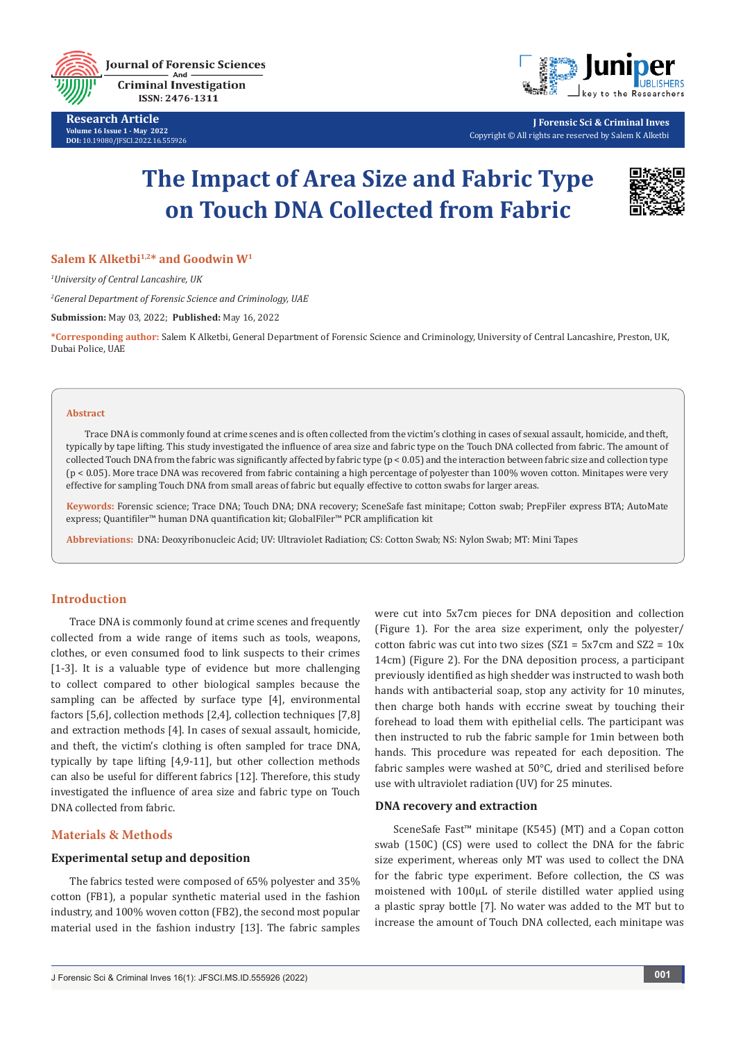

**Criminal Investigation** ISSN: 2476-1311

**Research Article Volume 16 Issue 1 - May 2022 DOI:** [10.19080/JFSCI.2022.16.55592](http://dx.doi.org/10.19080/JFSCI.2022.16.555926)6



**J Forensic Sci & Criminal Inves** Copyright © All rights are reserved by Salem K Alketbi

# **The Impact of Area Size and Fabric Type on Touch DNA Collected from Fabric**



#### Salem K Alketbi<sup>1,2\*</sup> and Goodwin W<sup>1</sup>

*1 University of Central Lancashire, UK*

*2 General Department of Forensic Science and Criminology, UAE*

**Submission:** May 03, 2022; **Published:** May 16, 2022

**\*Corresponding author:** Salem K Alketbi, General Department of Forensic Science and Criminology, University of Central Lancashire, Preston, UK, Dubai Police, UAE

#### **Abstract**

Trace DNA is commonly found at crime scenes and is often collected from the victim's clothing in cases of sexual assault, homicide, and theft, typically by tape lifting. This study investigated the influence of area size and fabric type on the Touch DNA collected from fabric. The amount of collected Touch DNA from the fabric was significantly affected by fabric type (p < 0.05) and the interaction between fabric size and collection type (p < 0.05). More trace DNA was recovered from fabric containing a high percentage of polyester than 100% woven cotton. Minitapes were very effective for sampling Touch DNA from small areas of fabric but equally effective to cotton swabs for larger areas.

**Keywords:** Forensic science; Trace DNA; Touch DNA; DNA recovery; SceneSafe fast minitape; Cotton swab; PrepFiler express BTA; AutoMate express; Quantifiler™ human DNA quantification kit; GlobalFiler™ PCR amplification kit

**Abbreviations:** DNA: Deoxyribonucleic Acid; UV: Ultraviolet Radiation; CS: Cotton Swab; NS: Nylon Swab; MT: Mini Tapes

#### **Introduction**

Trace DNA is commonly found at crime scenes and frequently collected from a wide range of items such as tools, weapons, clothes, or even consumed food to link suspects to their crimes [1-3]. It is a valuable type of evidence but more challenging to collect compared to other biological samples because the sampling can be affected by surface type [4], environmental factors [5,6], collection methods [2,4], collection techniques [7,8] and extraction methods [4]. In cases of sexual assault, homicide, and theft, the victim's clothing is often sampled for trace DNA, typically by tape lifting [4,9-11], but other collection methods can also be useful for different fabrics [12]. Therefore, this study investigated the influence of area size and fabric type on Touch DNA collected from fabric.

### **Materials & Methods**

## **Experimental setup and deposition**

The fabrics tested were composed of 65% polyester and 35% cotton (FB1), a popular synthetic material used in the fashion industry, and 100% woven cotton (FB2), the second most popular material used in the fashion industry [13]. The fabric samples were cut into 5x7cm pieces for DNA deposition and collection (Figure 1). For the area size experiment, only the polyester/ cotton fabric was cut into two sizes ( $SZ1 = 5x7$ cm and  $SZ2 = 10x$ 14cm) (Figure 2). For the DNA deposition process, a participant previously identified as high shedder was instructed to wash both hands with antibacterial soap, stop any activity for 10 minutes, then charge both hands with eccrine sweat by touching their forehead to load them with epithelial cells. The participant was then instructed to rub the fabric sample for 1min between both hands. This procedure was repeated for each deposition. The fabric samples were washed at 50°C, dried and sterilised before use with ultraviolet radiation (UV) for 25 minutes.

## **DNA recovery and extraction**

SceneSafe Fast™ minitape (K545) (MT) and a Copan cotton swab (150C) (CS) were used to collect the DNA for the fabric size experiment, whereas only MT was used to collect the DNA for the fabric type experiment. Before collection, the CS was moistened with 100μL of sterile distilled water applied using a plastic spray bottle [7]. No water was added to the MT but to increase the amount of Touch DNA collected, each minitape was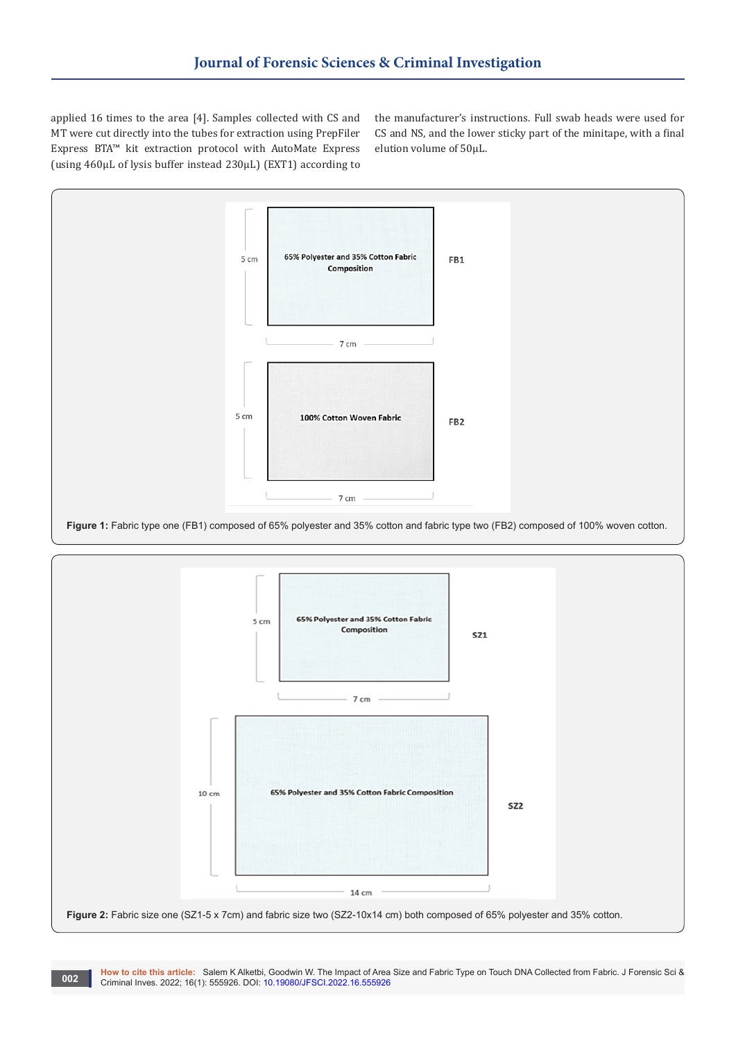applied 16 times to the area [4]. Samples collected with CS and MT were cut directly into the tubes for extraction using PrepFiler Express BTA™ kit extraction protocol with AutoMate Express (using 460μL of lysis buffer instead 230μL) (EXT1) according to

the manufacturer's instructions. Full swab heads were used for CS and NS, and the lower sticky part of the minitape, with a final elution volume of 50μL.





**How to cite this article:** Salem K Alketbi, Goodwin W. The Impact of Area Size and Fabric Type on Touch DNA Collected from Fabric. J Forensic Sci & **CODE: CRIMINAL INVESTIGATE:** Salem K AIKEDD, GOODWIT W. The Impact of Area Criminal Inves. 2022; 16(1): 555926. DOI: [10.19080/JFSCI.2022.16.55592](http://dx.doi.org/10.19080/JFSCI.2022.16.555926)6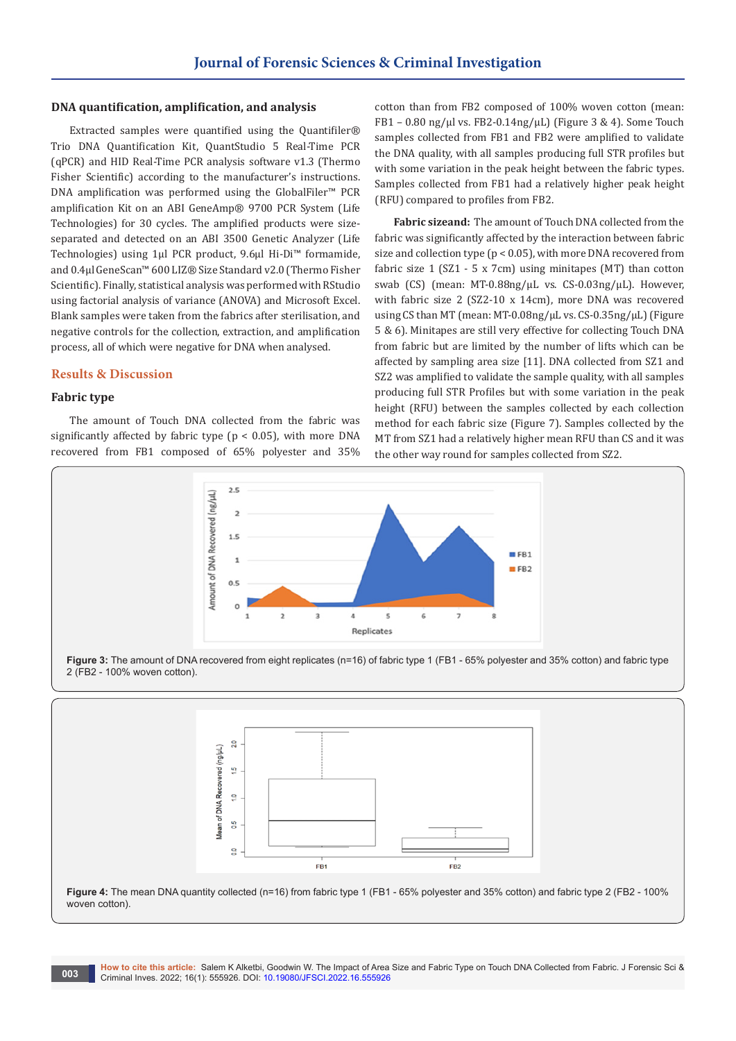#### **DNA quantification, amplification, and analysis**

Extracted samples were quantified using the Quantifiler*®* Trio DNA Quantification Kit, QuantStudio 5 Real-Time PCR (qPCR) and HID Real-Time PCR analysis software v1.3 (Thermo Fisher Scientific) according to the manufacturer's instructions. DNA amplification was performed using the GlobalFiler™ PCR amplification Kit on an ABI GeneAmp® 9700 PCR System (Life Technologies) for 30 cycles. The amplified products were sizeseparated and detected on an ABI 3500 Genetic Analyzer (Life Technologies) using 1μl PCR product, 9.6μl Hi-Di™ formamide, and 0.4μl GeneScan™ 600 LIZ® Size Standard v2.0 (Thermo Fisher Scientific). Finally, statistical analysis was performed with RStudio using factorial analysis of variance (ANOVA) and Microsoft Excel. Blank samples were taken from the fabrics after sterilisation, and negative controls for the collection, extraction, and amplification process, all of which were negative for DNA when analysed.

#### **Results & Discussion**

## **Fabric type**

The amount of Touch DNA collected from the fabric was significantly affected by fabric type ( $p < 0.05$ ), with more DNA recovered from FB1 composed of 65% polyester and 35%

cotton than from FB2 composed of 100% woven cotton (mean: FB1 – 0.80 ng/ $\mu$ l vs. FB2-0.14ng/ $\mu$ L) (Figure 3 & 4). Some Touch samples collected from FB1 and FB2 were amplified to validate the DNA quality, with all samples producing full STR profiles but with some variation in the peak height between the fabric types. Samples collected from FB1 had a relatively higher peak height (RFU) compared to profiles from FB2.

**Fabric sizeand:** The amount of Touch DNA collected from the fabric was significantly affected by the interaction between fabric size and collection type (p < 0.05), with more DNA recovered from fabric size 1 (SZ1 - 5 x 7cm) using minitapes (MT) than cotton swab (CS) (mean: MT-0.88ng/μL vs. CS-0.03ng/μL). However, with fabric size 2 (SZ2-10 x 14cm), more DNA was recovered using CS than MT (mean: MT-0.08ng/µL vs. CS-0.35ng/μL) (Figure 5 & 6). Minitapes are still very effective for collecting Touch DNA from fabric but are limited by the number of lifts which can be affected by sampling area size [11]. DNA collected from SZ1 and SZ2 was amplified to validate the sample quality, with all samples producing full STR Profiles but with some variation in the peak height (RFU) between the samples collected by each collection method for each fabric size (Figure 7). Samples collected by the MT from SZ1 had a relatively higher mean RFU than CS and it was the other way round for samples collected from SZ2.







**Figure 4:** The mean DNA quantity collected (n=16) from fabric type 1 (FB1 - 65% polyester and 35% cotton) and fabric type 2 (FB2 - 100% woven cotton).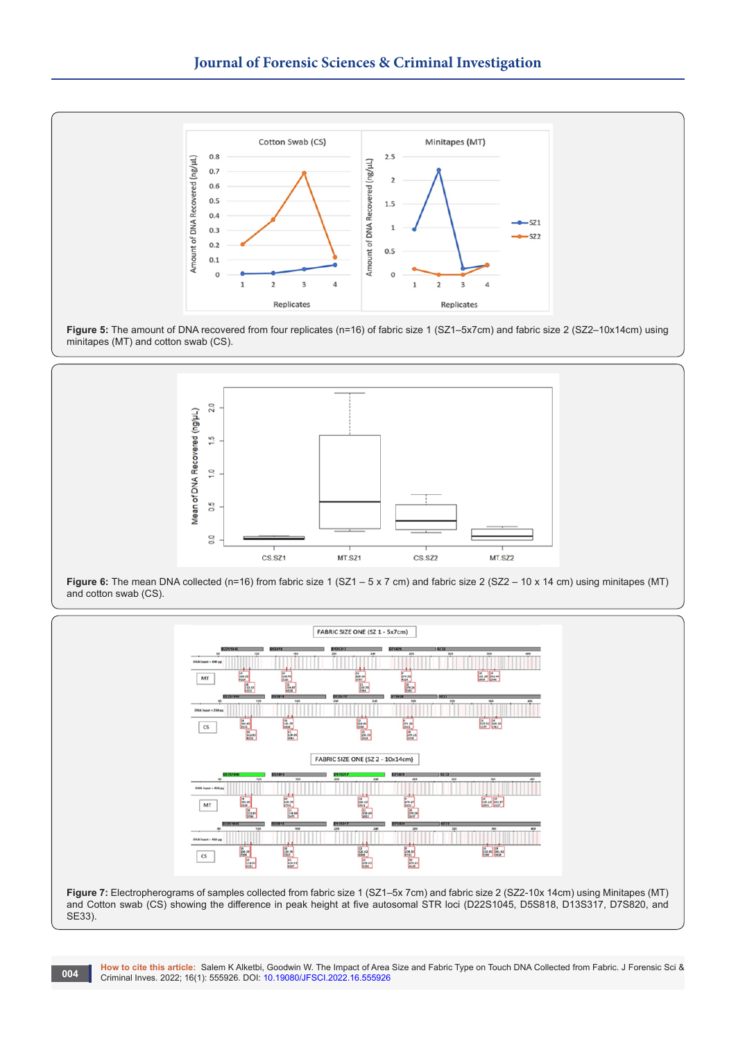





**Figure 6:** The mean DNA collected (n=16) from fabric size 1 (SZ1 – 5 x 7 cm) and fabric size 2 (SZ2 – 10 x 14 cm) using minitapes (MT) and cotton swab (CS).



**Figure 7:** Electropherograms of samples collected from fabric size 1 (SZ1–5x 7cm) and fabric size 2 (SZ2-10x 14cm) using Minitapes (MT) and Cotton swab (CS) showing the difference in peak height at five autosomal STR loci (D22S1045, D5S818, D13S317, D7S820, and SE33).

**How to cite this article:** Salem K Alketbi, Goodwin W. The Impact of Area Size and Fabric Type on Touch DNA Collected from Fabric. J Forensic Sci & **004 Criminal Inves. 2022; 16(1): 555926. DOI: [10.19080/JFSCI.2022.16.55592](http://dx.doi.org/10.19080/JFSCI.2022.16.555926)6**